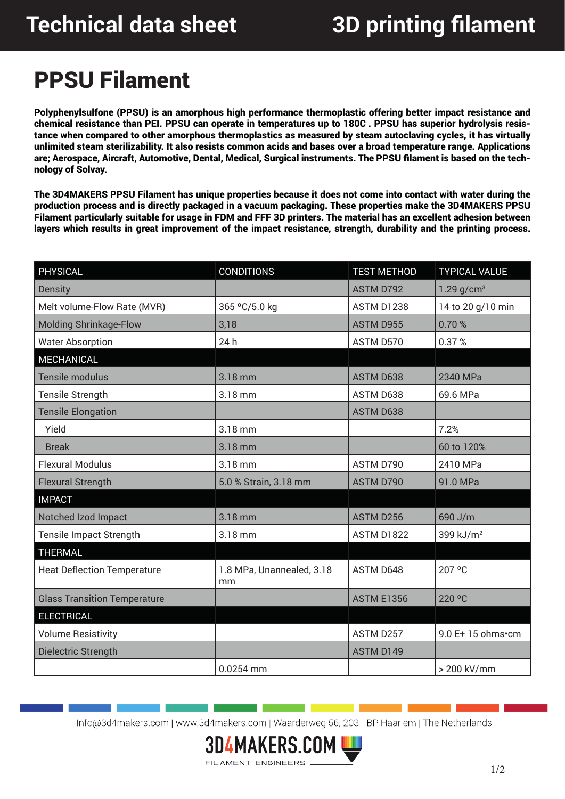## PPSU Filament

Polyphenylsulfone (PPSU) is an amorphous high performance thermoplastic offering better impact resistance and chemical resistance than PEI. PPSU can operate in temperatures up to 180C. PPSU has superior hydrolysis resistance when compared to other amorphous thermoplastics as measured by steam autoclaving cycles, it has virtually unlimited steam sterilizability. It also resists common acids and bases over a broad temperature range. Applications are; Aerospace, Aircraft, Automotive, Dental, Medical, Surgical instruments. The PPSU filament is based on the technology of Solvay.

The 3D4MAKERS PPSU Filament has unique properties because it does not come into contact with water during the production process and is directly packaged in a vacuum packaging. These properties make the 3D4MAKERS PPSU Filament particularly suitable for usage in FDM and FFF 3D printers. The material has an excellent adhesion between layers which results in great improvement of the impact resistance, strength, durability and the printing process.

| <b>PHYSICAL</b>                     | <b>CONDITIONS</b>               | <b>TEST METHOD</b> | <b>TYPICAL VALUE</b>     |
|-------------------------------------|---------------------------------|--------------------|--------------------------|
| <b>Density</b>                      |                                 | <b>ASTM D792</b>   | $1.29$ g/cm <sup>3</sup> |
| Melt volume-Flow Rate (MVR)         | 365 °C/5.0 kg                   | ASTM D1238         | 14 to 20 g/10 min        |
| <b>Molding Shrinkage-Flow</b>       | 3,18                            | <b>ASTM D955</b>   | 0.70%                    |
| <b>Water Absorption</b>             | 24h                             | ASTM D570          | 0.37%                    |
| MECHANICAL                          |                                 |                    |                          |
| <b>Tensile modulus</b>              | 3.18 mm                         | <b>ASTM D638</b>   | 2340 MPa                 |
| Tensile Strength                    | 3.18 mm                         | ASTM D638          | 69.6 MPa                 |
| <b>Tensile Elongation</b>           |                                 | <b>ASTM D638</b>   |                          |
| Yield                               | 3.18 mm                         |                    | 7.2%                     |
| <b>Break</b>                        | 3.18 mm                         |                    | 60 to 120%               |
| <b>Flexural Modulus</b>             | 3.18 mm                         | ASTM D790          | 2410 MPa                 |
| <b>Flexural Strength</b>            | 5.0 % Strain, 3.18 mm           | ASTM D790          | 91.0 MPa                 |
| <b>IMPACT</b>                       |                                 |                    |                          |
| Notched Izod Impact                 | 3.18 mm                         | ASTM D256          | 690 J/m                  |
| Tensile Impact Strength             | 3.18 mm                         | <b>ASTM D1822</b>  | 399 kJ/m <sup>2</sup>    |
| <b>THERMAL</b>                      |                                 |                    |                          |
| <b>Heat Deflection Temperature</b>  | 1.8 MPa, Unannealed, 3.18<br>mm | ASTM D648          | 207 °C                   |
| <b>Glass Transition Temperature</b> |                                 | <b>ASTM E1356</b>  | 220 °C                   |
| <b>ELECTRICAL</b>                   |                                 |                    |                          |
| <b>Volume Resistivity</b>           |                                 | ASTM D257          | 9.0 E+15 ohms•cm         |
| Dielectric Strength                 |                                 | <b>ASTM D149</b>   |                          |
|                                     | 0.0254 mm                       |                    | > 200 kV/mm              |

Info@3d4makers.com | www.3d4makers.com | Waarderweg 56, 2031 BP Haarlem | The Netherlands